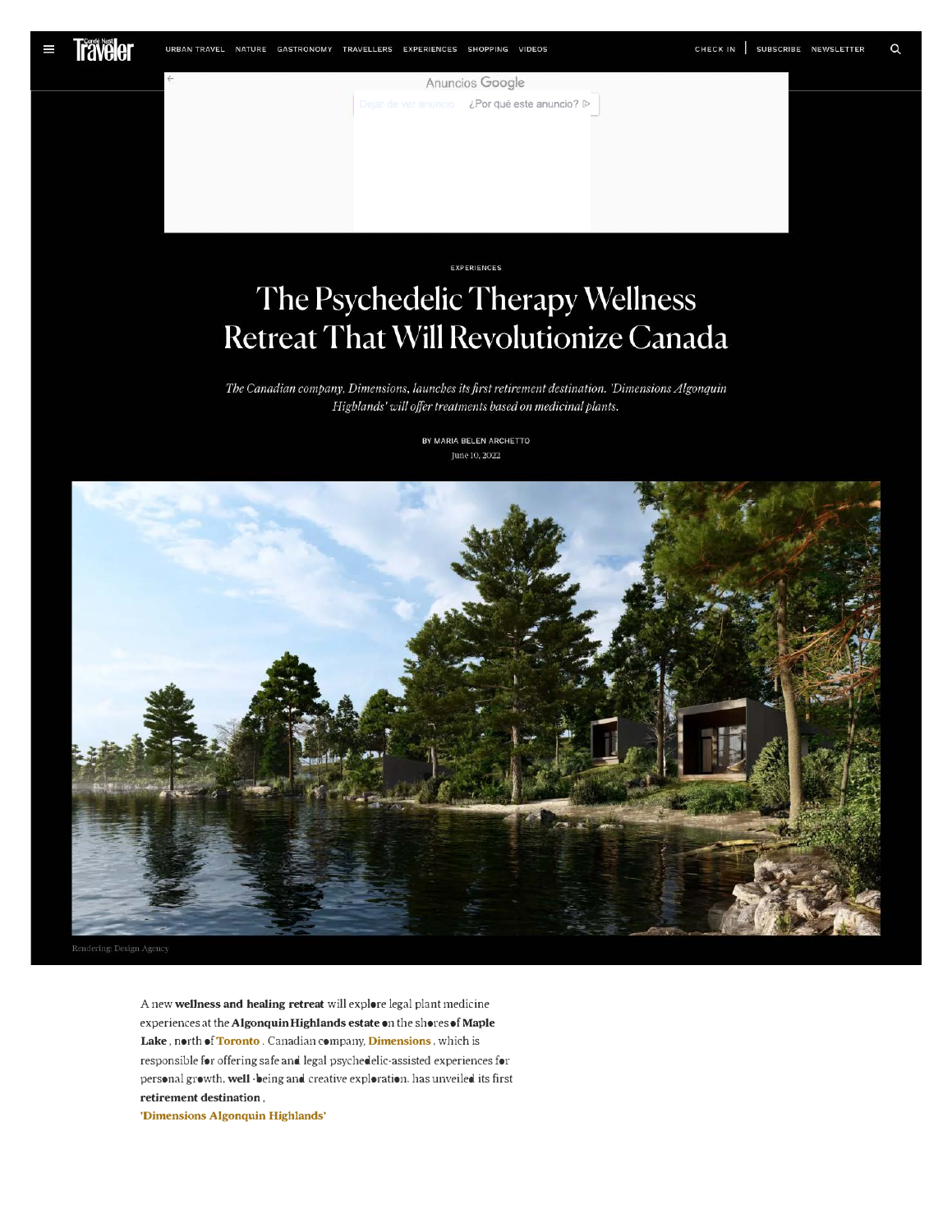EXPERIENCES

## The Psychedelic Therapy Wellness Retreat That Will Revolutionize Canada

The Canadian company, Dimensions, launches its first retirement destination. 'Dimensions Algonquin Highlands' will offer treatments based on medicinal plants.

> BY MARIA BELEN ARCHETTO June 10, 2022

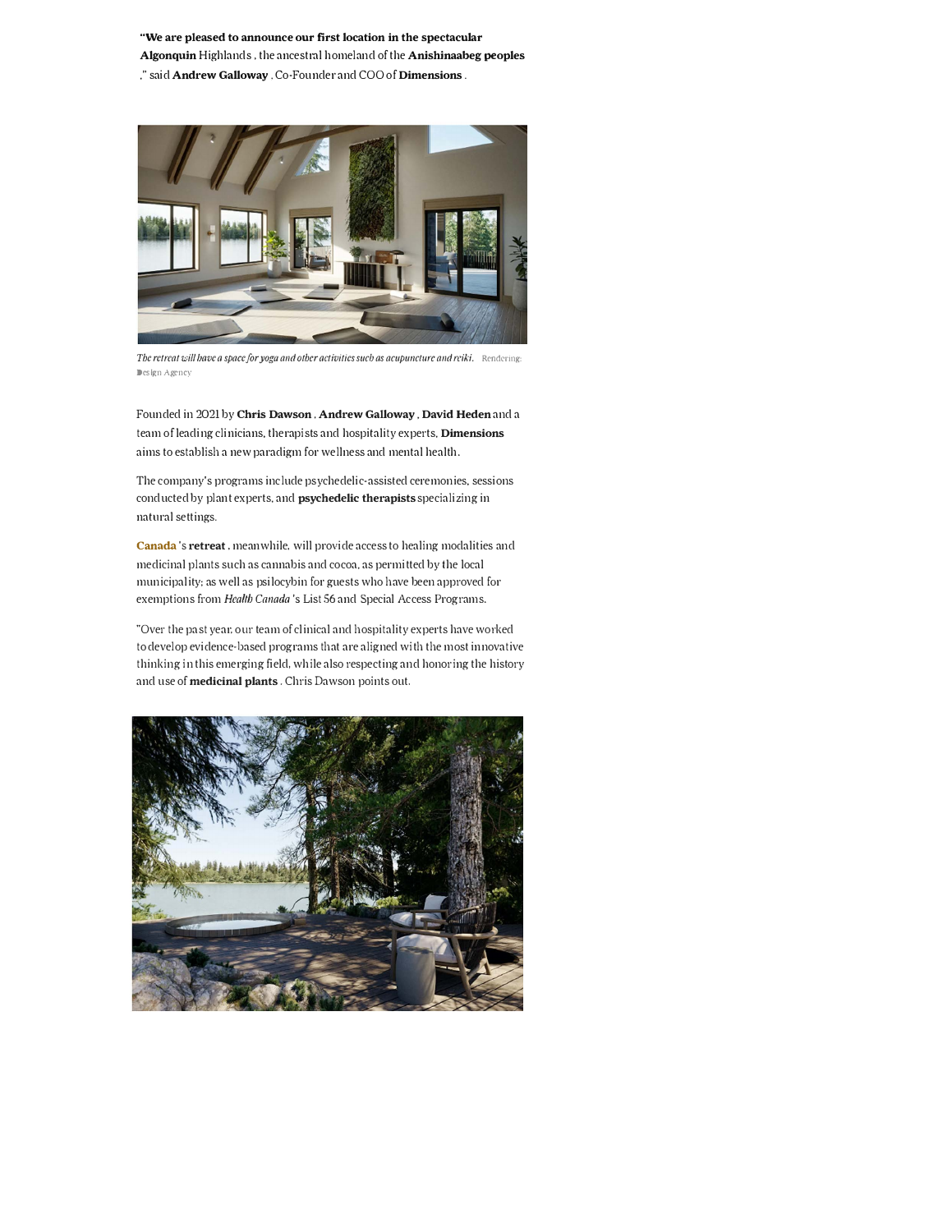**"We are pleased to announce our first location in the spectacular Algonquin** Highlands, the ancestral homeland of the **Anishinaabeg peoples** 

," said **Andrew Galloway,** Co-Founder and COO of **Dimensions.** 



*The retreat will have a space for yoga and other activities such as acupuncture and reiki.* Rendering: Design Agency

Founded in 2021 by **Chris Dawson, Andrew Galloway, David Heden** and a team of leading clinicians, therapists and hospitality experts, **Dimensions**  aims to establish a new paradigm for wellness and mental health.

The company's programs include psychedelic-assisted ceremonies, sessions conducted by plant experts, and **psychedelic therapists** specializing in natural settings.

**Canada's retreat,** meanwhile, will provide access to healing modalities and medicinal plants such as cannabis and cocoa, as permitted by the local municipality; as well as psilocybin for guests who have been approved for exemptions from *Health Canada's* List 56 and Special Access Programs.

"Over the past year, our team of clinical and hospitality experts have worked to develop evidence-based programs that are aligned with the most innovative thinking in this emerging field, while also respecting and honoring the history and use of **medicinal plants.** Chris Dawson points out.

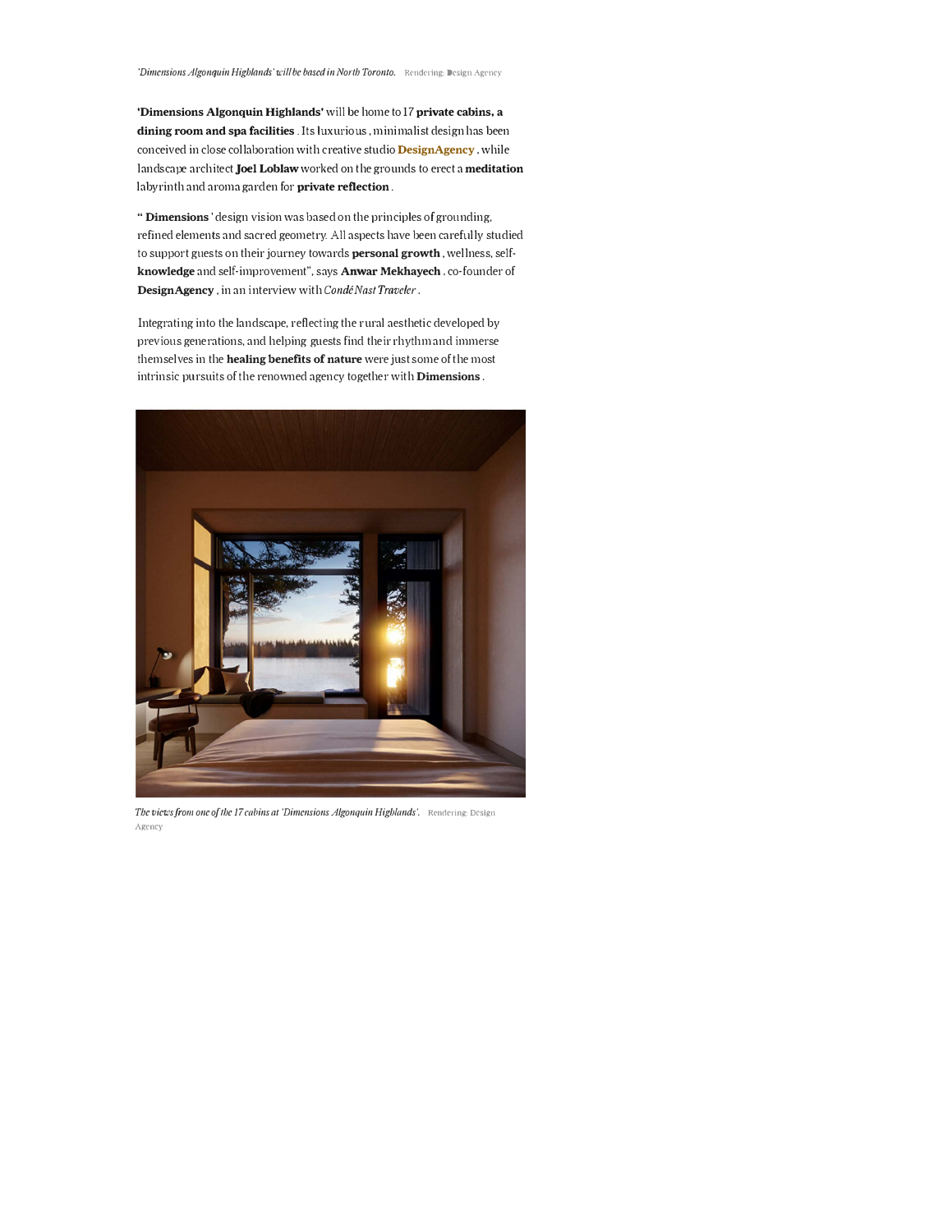**'Dimensions Algonquin Highlands'** will be home to 17 **private cabins, a dining room and spa facilities** . Its luxurious , minimalist design has been conceived in close collaboration with creative studio **DesignAgency,** while landscape architect **Joel Loblaw** worked on the grounds to erect a **meditation**  labyrinth and aroma garden for **private reflection.** 

**"Dimensions'** design vision was based on the principles of grounding, refined elements and sacred geometry. All aspects have been carefully studied to support guests on their journey towards **personal growth,** wellness, self**knowledge** and self-improvement", says **Anwar Mekhayech,** co-founder of **DesignAgency,** in an interview with *Conde Nast Traveler.*

Integrating into the landscape, reflecting the rural aesthetic developed by previous generations, and helping guests find their rhythm and immerse themselves in the **healing benefits of nature** were just some of the most intrinsic pursuits ofthe renowned agency together with **Dimensions.** 



*Tbeviewsfrom one of the 17 cabins at 'Dimensions Algonquin Highlands·.* Rendering: Design Agency